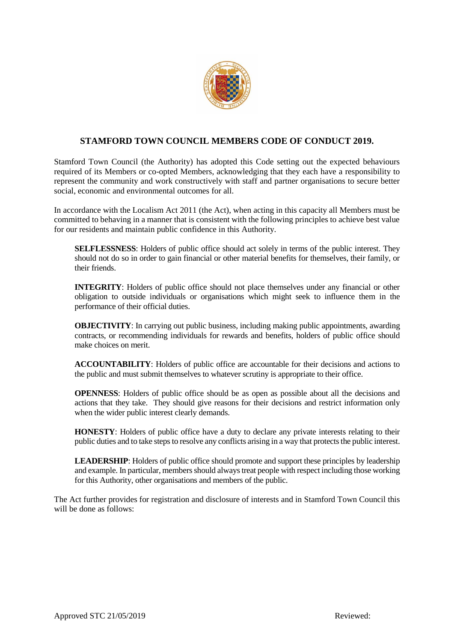

# **STAMFORD TOWN COUNCIL MEMBERS CODE OF CONDUCT 2019.**

Stamford Town Council (the Authority) has adopted this Code setting out the expected behaviours required of its Members or co-opted Members, acknowledging that they each have a responsibility to represent the community and work constructively with staff and partner organisations to secure better social, economic and environmental outcomes for all.

In accordance with the Localism Act 2011 (the Act), when acting in this capacity all Members must be committed to behaving in a manner that is consistent with the following principles to achieve best value for our residents and maintain public confidence in this Authority.

**SELFLESSNESS**: Holders of public office should act solely in terms of the public interest. They should not do so in order to gain financial or other material benefits for themselves, their family, or their friends.

**INTEGRITY**: Holders of public office should not place themselves under any financial or other obligation to outside individuals or organisations which might seek to influence them in the performance of their official duties.

**OBJECTIVITY**: In carrying out public business, including making public appointments, awarding contracts, or recommending individuals for rewards and benefits, holders of public office should make choices on merit.

**ACCOUNTABILITY**: Holders of public office are accountable for their decisions and actions to the public and must submit themselves to whatever scrutiny is appropriate to their office.

**OPENNESS**: Holders of public office should be as open as possible about all the decisions and actions that they take. They should give reasons for their decisions and restrict information only when the wider public interest clearly demands.

**HONESTY**: Holders of public office have a duty to declare any private interests relating to their public duties and to take steps to resolve any conflicts arising in a way that protects the public interest.

**LEADERSHIP**: Holders of public office should promote and support these principles by leadership and example. In particular, members should always treat people with respect including those working for this Authority, other organisations and members of the public.

The Act further provides for registration and disclosure of interests and in Stamford Town Council this will be done as follows: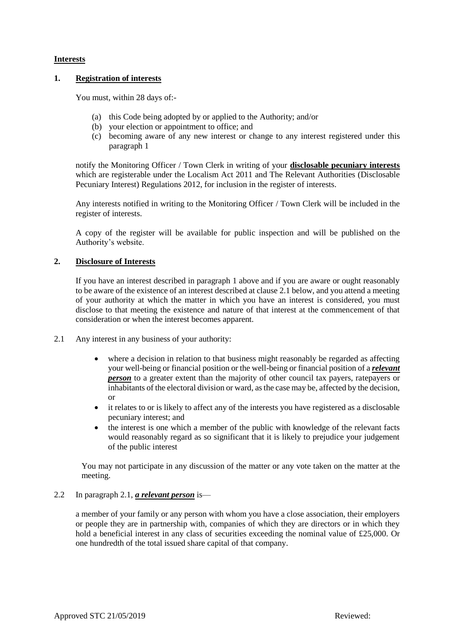### **Interests**

### **1. Registration of interests**

You must, within 28 days of:-

- (a) this Code being adopted by or applied to the Authority; and/or
- (b) your election or appointment to office; and
- (c) becoming aware of any new interest or change to any interest registered under this paragraph 1

notify the Monitoring Officer / Town Clerk in writing of your **disclosable pecuniary interests** which are registerable under the Localism Act 2011 and The Relevant Authorities (Disclosable Pecuniary Interest) Regulations 2012, for inclusion in the register of interests.

Any interests notified in writing to the Monitoring Officer / Town Clerk will be included in the register of interests.

A copy of the register will be available for public inspection and will be published on the Authority's website.

### **2. Disclosure of Interests**

If you have an interest described in paragraph 1 above and if you are aware or ought reasonably to be aware of the existence of an interest described at clause 2.1 below, and you attend a meeting of your authority at which the matter in which you have an interest is considered, you must disclose to that meeting the existence and nature of that interest at the commencement of that consideration or when the interest becomes apparent.

- 2.1 Any interest in any business of your authority:
	- where a decision in relation to that business might reasonably be regarded as affecting your well-being or financial position or the well-being or financial position of a *relevant person* to a greater extent than the majority of other council tax payers, ratepayers or inhabitants of the electoral division or ward, as the case may be, affected by the decision, or
	- it relates to or is likely to affect any of the interests you have registered as a disclosable pecuniary interest; and
	- the interest is one which a member of the public with knowledge of the relevant facts would reasonably regard as so significant that it is likely to prejudice your judgement of the public interest

You may not participate in any discussion of the matter or any vote taken on the matter at the meeting.

### 2.2 In paragraph 2.1, *a relevant person* is—

a member of your family or any person with whom you have a close association, their employers or people they are in partnership with, companies of which they are directors or in which they hold a beneficial interest in any class of securities exceeding the nominal value of £25,000. Or one hundredth of the total issued share capital of that company.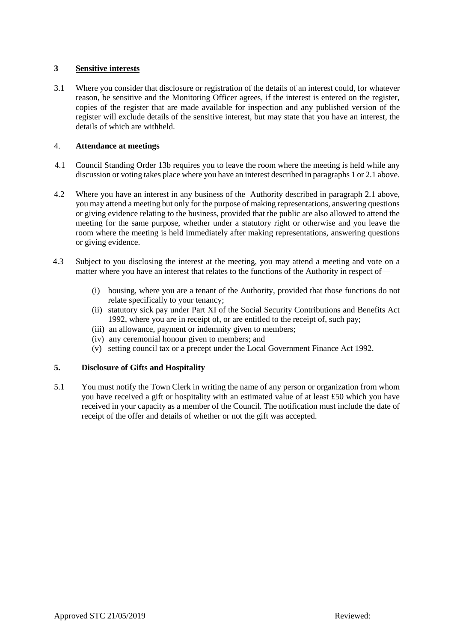### **3 Sensitive interests**

3.1 Where you consider that disclosure or registration of the details of an interest could, for whatever reason, be sensitive and the Monitoring Officer agrees, if the interest is entered on the register, copies of the register that are made available for inspection and any published version of the register will exclude details of the sensitive interest, but may state that you have an interest, the details of which are withheld.

# 4. **Attendance at meetings**

- 4.1 Council Standing Order 13b requires you to leave the room where the meeting is held while any discussion or voting takes place where you have an interest described in paragraphs 1 or 2.1 above.
- 4.2 Where you have an interest in any business of the Authority described in paragraph 2.1 above, you may attend a meeting but only for the purpose of making representations, answering questions or giving evidence relating to the business, provided that the public are also allowed to attend the meeting for the same purpose, whether under a statutory right or otherwise and you leave the room where the meeting is held immediately after making representations, answering questions or giving evidence.
- 4.3 Subject to you disclosing the interest at the meeting, you may attend a meeting and vote on a matter where you have an interest that relates to the functions of the Authority in respect of—
	- (i) housing, where you are a tenant of the Authority, provided that those functions do not relate specifically to your tenancy;
	- (ii) statutory sick pay under Part XI of the Social Security Contributions and Benefits Act 1992, where you are in receipt of, or are entitled to the receipt of, such pay;
	- (iii) an allowance, payment or indemnity given to members;
	- (iv) any ceremonial honour given to members; and
	- (v) setting council tax or a precept under the Local Government Finance Act 1992.

# **5. Disclosure of Gifts and Hospitality**

5.1 You must notify the Town Clerk in writing the name of any person or organization from whom you have received a gift or hospitality with an estimated value of at least £50 which you have received in your capacity as a member of the Council. The notification must include the date of receipt of the offer and details of whether or not the gift was accepted.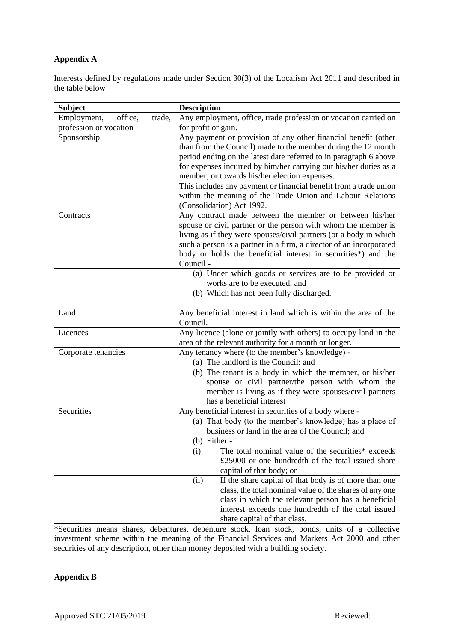# **Appendix A**

Interests defined by regulations made under Section 30(3) of the Localism Act 2011 and described in the table below

| <b>Subject</b>                   | <b>Description</b>                                                                                                  |
|----------------------------------|---------------------------------------------------------------------------------------------------------------------|
| Employment,<br>office,<br>trade, | Any employment, office, trade profession or vocation carried on                                                     |
| profession or vocation           | for profit or gain.                                                                                                 |
| Sponsorship                      | Any payment or provision of any other financial benefit (other                                                      |
|                                  | than from the Council) made to the member during the 12 month                                                       |
|                                  | period ending on the latest date referred to in paragraph 6 above                                                   |
|                                  | for expenses incurred by him/her carrying out his/her duties as a                                                   |
|                                  | member, or towards his/her election expenses.                                                                       |
|                                  | This includes any payment or financial benefit from a trade union                                                   |
|                                  | within the meaning of the Trade Union and Labour Relations                                                          |
|                                  | (Consolidation) Act 1992.                                                                                           |
| Contracts                        | Any contract made between the member or between his/her                                                             |
|                                  | spouse or civil partner or the person with whom the member is                                                       |
|                                  | living as if they were spouses/civil partners (or a body in which                                                   |
|                                  | such a person is a partner in a firm, a director of an incorporated                                                 |
|                                  | body or holds the beneficial interest in securities*) and the                                                       |
|                                  | Council -                                                                                                           |
|                                  | (a) Under which goods or services are to be provided or                                                             |
|                                  | works are to be executed, and                                                                                       |
|                                  | (b) Which has not been fully discharged.                                                                            |
|                                  |                                                                                                                     |
| Land                             | Any beneficial interest in land which is within the area of the                                                     |
|                                  | Council.                                                                                                            |
| Licences                         | Any licence (alone or jointly with others) to occupy land in the                                                    |
|                                  | area of the relevant authority for a month or longer.                                                               |
| Corporate tenancies              | Any tenancy where (to the member's knowledge) -                                                                     |
|                                  | (a) The landlord is the Council: and                                                                                |
|                                  | (b) The tenant is a body in which the member, or his/her                                                            |
|                                  | spouse or civil partner/the person with whom the                                                                    |
|                                  | member is living as if they were spouses/civil partners                                                             |
| Securities                       | has a beneficial interest                                                                                           |
|                                  | Any beneficial interest in securities of a body where -<br>(a) That body (to the member's knowledge) has a place of |
|                                  | business or land in the area of the Council; and                                                                    |
|                                  | $(b)$ Either:-                                                                                                      |
|                                  | The total nominal value of the securities* exceeds<br>(i)                                                           |
|                                  | £25000 or one hundredth of the total issued share                                                                   |
|                                  | capital of that body; or                                                                                            |
|                                  | If the share capital of that body is of more than one<br>(ii)                                                       |
|                                  | class, the total nominal value of the shares of any one                                                             |
|                                  | class in which the relevant person has a beneficial                                                                 |
|                                  | interest exceeds one hundredth of the total issued                                                                  |
|                                  | share capital of that class.                                                                                        |

\*Securities means shares, debentures, debenture stock, loan stock, bonds, units of a collective investment scheme within the meaning of the Financial Services and Markets Act 2000 and other securities of any description, other than money deposited with a building society.

# **Appendix B**